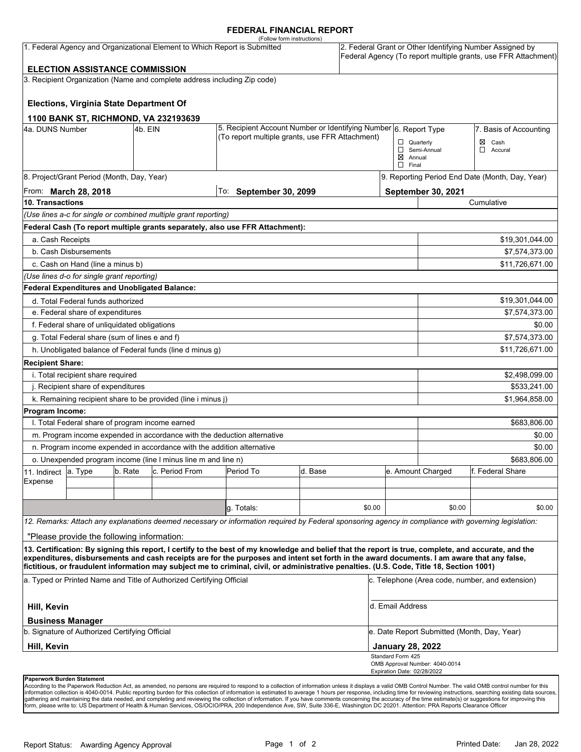#### **FEDERAL FINANCIAL REPORT**

|                                                                                                                                                                                                                   |                                                 |         |                                                                          | (Follow form instructions)                                                                                                                           |         |        |                                                                                                                            |                                                                                                             |                        |  |
|-------------------------------------------------------------------------------------------------------------------------------------------------------------------------------------------------------------------|-------------------------------------------------|---------|--------------------------------------------------------------------------|------------------------------------------------------------------------------------------------------------------------------------------------------|---------|--------|----------------------------------------------------------------------------------------------------------------------------|-------------------------------------------------------------------------------------------------------------|------------------------|--|
| 1. Federal Agency and Organizational Element to Which Report is Submitted                                                                                                                                         |                                                 |         |                                                                          |                                                                                                                                                      |         |        | 2. Federal Grant or Other Identifying Number Assigned by<br>Federal Agency (To report multiple grants, use FFR Attachment) |                                                                                                             |                        |  |
|                                                                                                                                                                                                                   | <b>ELECTION ASSISTANCE COMMISSION</b>           |         |                                                                          |                                                                                                                                                      |         |        |                                                                                                                            |                                                                                                             |                        |  |
|                                                                                                                                                                                                                   |                                                 |         | 3. Recipient Organization (Name and complete address including Zip code) |                                                                                                                                                      |         |        |                                                                                                                            |                                                                                                             |                        |  |
|                                                                                                                                                                                                                   | Elections, Virginia State Department Of         |         |                                                                          |                                                                                                                                                      |         |        |                                                                                                                            |                                                                                                             |                        |  |
|                                                                                                                                                                                                                   |                                                 |         | 1100 BANK ST, RICHMOND, VA 232193639                                     |                                                                                                                                                      |         |        |                                                                                                                            |                                                                                                             |                        |  |
| 4a. DUNS Number                                                                                                                                                                                                   |                                                 | 4b. EIN |                                                                          | 5. Recipient Account Number or Identifying Number 6. Report Type<br>(To report multiple grants, use FFR Attachment)                                  |         |        |                                                                                                                            |                                                                                                             | 7. Basis of Accounting |  |
|                                                                                                                                                                                                                   |                                                 |         |                                                                          |                                                                                                                                                      |         |        |                                                                                                                            | $\Box$ Quarterly<br>$\boxtimes$ Cash<br>Semi-Annual<br>$\Box$ Accural<br>$\boxtimes$ Annual<br>$\Box$ Final |                        |  |
|                                                                                                                                                                                                                   | 8. Project/Grant Period (Month, Day, Year)      |         |                                                                          |                                                                                                                                                      |         |        |                                                                                                                            | 9. Reporting Period End Date (Month, Day, Year)                                                             |                        |  |
| From: <b>March 28, 2018</b>                                                                                                                                                                                       |                                                 |         |                                                                          | To: September 30, 2099                                                                                                                               |         |        |                                                                                                                            | <b>September 30, 2021</b>                                                                                   |                        |  |
| 10. Transactions                                                                                                                                                                                                  |                                                 |         |                                                                          |                                                                                                                                                      |         |        |                                                                                                                            | Cumulative                                                                                                  |                        |  |
|                                                                                                                                                                                                                   |                                                 |         | (Use lines a-c for single or combined multiple grant reporting)          |                                                                                                                                                      |         |        |                                                                                                                            |                                                                                                             |                        |  |
|                                                                                                                                                                                                                   |                                                 |         |                                                                          | Federal Cash (To report multiple grants separately, also use FFR Attachment):                                                                        |         |        |                                                                                                                            |                                                                                                             |                        |  |
| a. Cash Receipts                                                                                                                                                                                                  |                                                 |         |                                                                          |                                                                                                                                                      |         |        |                                                                                                                            |                                                                                                             | \$19,301,044.00        |  |
|                                                                                                                                                                                                                   | b. Cash Disbursements                           |         |                                                                          |                                                                                                                                                      |         |        |                                                                                                                            |                                                                                                             | \$7,574,373.00         |  |
|                                                                                                                                                                                                                   | c. Cash on Hand (line a minus b)                |         |                                                                          |                                                                                                                                                      |         |        |                                                                                                                            |                                                                                                             | \$11,726,671.00        |  |
|                                                                                                                                                                                                                   | (Use lines d-o for single grant reporting)      |         |                                                                          |                                                                                                                                                      |         |        |                                                                                                                            |                                                                                                             |                        |  |
|                                                                                                                                                                                                                   | Federal Expenditures and Unobligated Balance:   |         |                                                                          |                                                                                                                                                      |         |        |                                                                                                                            |                                                                                                             |                        |  |
|                                                                                                                                                                                                                   | d. Total Federal funds authorized               |         |                                                                          |                                                                                                                                                      |         |        |                                                                                                                            |                                                                                                             | \$19,301,044.00        |  |
|                                                                                                                                                                                                                   | e. Federal share of expenditures                |         |                                                                          |                                                                                                                                                      |         |        |                                                                                                                            | \$7,574,373.00                                                                                              |                        |  |
|                                                                                                                                                                                                                   | f. Federal share of unliquidated obligations    |         |                                                                          |                                                                                                                                                      |         |        |                                                                                                                            | \$0.00                                                                                                      |                        |  |
|                                                                                                                                                                                                                   | g. Total Federal share (sum of lines e and f)   |         |                                                                          |                                                                                                                                                      |         |        |                                                                                                                            | \$7,574,373.00                                                                                              |                        |  |
|                                                                                                                                                                                                                   |                                                 |         | h. Unobligated balance of Federal funds (line d minus g)                 |                                                                                                                                                      |         |        |                                                                                                                            |                                                                                                             | \$11,726,671.00        |  |
| <b>Recipient Share:</b>                                                                                                                                                                                           |                                                 |         |                                                                          |                                                                                                                                                      |         |        |                                                                                                                            |                                                                                                             |                        |  |
|                                                                                                                                                                                                                   | i. Total recipient share required               |         |                                                                          |                                                                                                                                                      |         |        |                                                                                                                            |                                                                                                             | \$2,498,099.00         |  |
| j. Recipient share of expenditures                                                                                                                                                                                |                                                 |         |                                                                          |                                                                                                                                                      |         |        |                                                                                                                            | \$533,241.00                                                                                                |                        |  |
|                                                                                                                                                                                                                   |                                                 |         | k. Remaining recipient share to be provided (line i minus j)             |                                                                                                                                                      |         |        |                                                                                                                            |                                                                                                             | \$1,964,858.00         |  |
| Program Income:                                                                                                                                                                                                   |                                                 |         |                                                                          |                                                                                                                                                      |         |        |                                                                                                                            |                                                                                                             |                        |  |
|                                                                                                                                                                                                                   | I. Total Federal share of program income earned |         |                                                                          |                                                                                                                                                      |         |        |                                                                                                                            |                                                                                                             | \$683,806.00           |  |
|                                                                                                                                                                                                                   |                                                 |         |                                                                          | m. Program income expended in accordance with the deduction alternative                                                                              |         |        |                                                                                                                            |                                                                                                             | \$0.00                 |  |
|                                                                                                                                                                                                                   |                                                 |         | n. Program income expended in accordance with the addition alternative   |                                                                                                                                                      |         |        |                                                                                                                            |                                                                                                             | \$0.00                 |  |
|                                                                                                                                                                                                                   |                                                 |         | o. Unexpended program income (line I minus line m and line n)            |                                                                                                                                                      |         |        |                                                                                                                            | \$683,806.00                                                                                                |                        |  |
| 11. Indirect                                                                                                                                                                                                      | a. Type                                         | b. Rate | c. Period From                                                           | Period To                                                                                                                                            | d. Base |        |                                                                                                                            | e. Amount Charged                                                                                           | f. Federal Share       |  |
| Expense                                                                                                                                                                                                           |                                                 |         |                                                                          |                                                                                                                                                      |         |        |                                                                                                                            |                                                                                                             |                        |  |
|                                                                                                                                                                                                                   |                                                 |         |                                                                          |                                                                                                                                                      |         |        |                                                                                                                            |                                                                                                             |                        |  |
|                                                                                                                                                                                                                   |                                                 |         |                                                                          | q. Totals:                                                                                                                                           |         | \$0.00 |                                                                                                                            | \$0.00                                                                                                      | \$0.00                 |  |
|                                                                                                                                                                                                                   |                                                 |         |                                                                          | 12. Remarks: Attach any explanations deemed necessary or information required by Federal sponsoring agency in compliance with governing legislation: |         |        |                                                                                                                            |                                                                                                             |                        |  |
|                                                                                                                                                                                                                   | "Please provide the following information:      |         |                                                                          |                                                                                                                                                      |         |        |                                                                                                                            |                                                                                                             |                        |  |
|                                                                                                                                                                                                                   |                                                 |         |                                                                          | 13. Certification: By signing this report, I certify to the best of my knowledge and belief that the report is true, complete, and accurate, and the |         |        |                                                                                                                            |                                                                                                             |                        |  |
|                                                                                                                                                                                                                   |                                                 |         |                                                                          | expenditures, disbursements and cash receipts are for the purposes and intent set forth in the award documents. I am aware that any false,           |         |        |                                                                                                                            |                                                                                                             |                        |  |
| fictitious, or fraudulent information may subject me to criminal, civil, or administrative penalties. (U.S. Code, Title 18, Section 1001)<br>a. Typed or Printed Name and Title of Authorized Certifying Official |                                                 |         |                                                                          |                                                                                                                                                      |         |        | c. Telephone (Area code, number, and extension)                                                                            |                                                                                                             |                        |  |
| Hill, Kevin                                                                                                                                                                                                       |                                                 |         |                                                                          |                                                                                                                                                      |         |        | d. Email Address                                                                                                           |                                                                                                             |                        |  |
|                                                                                                                                                                                                                   | <b>Business Manager</b>                         |         |                                                                          |                                                                                                                                                      |         |        |                                                                                                                            |                                                                                                             |                        |  |
| b. Signature of Authorized Certifying Official                                                                                                                                                                    |                                                 |         |                                                                          |                                                                                                                                                      |         |        | e. Date Report Submitted (Month, Day, Year)                                                                                |                                                                                                             |                        |  |
| Hill, Kevin                                                                                                                                                                                                       |                                                 |         |                                                                          |                                                                                                                                                      |         |        | <b>January 28, 2022</b>                                                                                                    |                                                                                                             |                        |  |
|                                                                                                                                                                                                                   |                                                 |         |                                                                          |                                                                                                                                                      |         |        | Standard Form 425<br>Expiration Date: 02/28/2022                                                                           | OMB Approval Number: 4040-0014                                                                              |                        |  |
|                                                                                                                                                                                                                   | Paperwork Burden Statement                      |         |                                                                          |                                                                                                                                                      |         |        |                                                                                                                            |                                                                                                             |                        |  |

According to the Paperwork Reduction Act, as amended, no persons are required to respond to a collection of information unless it displays a valid OMB Control Number. The valid OMB control number for this<br>information colle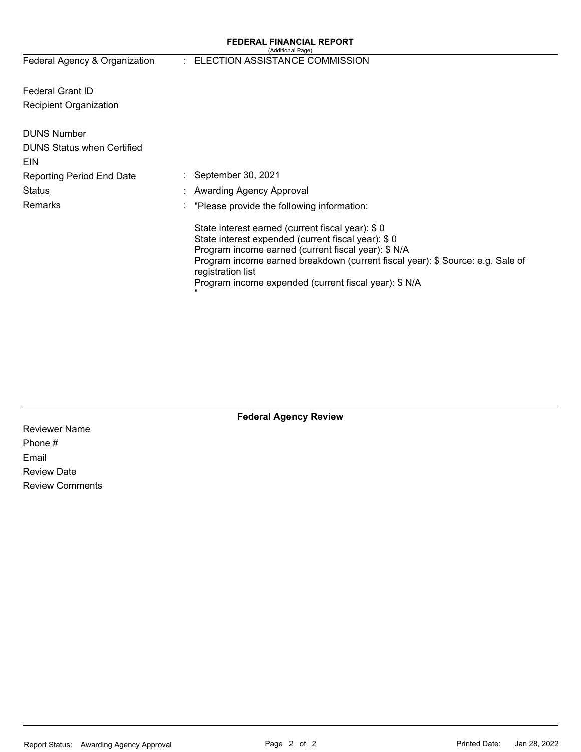#### **FEDERAL FINANCIAL REPORT**  (Additional Page)

# Federal Agency & Organization : ELECTION ASSISTANCE COMMISSION

Federal Grant ID Recipient Organization

| <b>DUNS Number</b><br><b>DUNS Status when Certified</b><br>EIN |                                                                                                                                                                                                                                                                                                                               |
|----------------------------------------------------------------|-------------------------------------------------------------------------------------------------------------------------------------------------------------------------------------------------------------------------------------------------------------------------------------------------------------------------------|
| <b>Reporting Period End Date</b>                               | $\therefore$ September 30, 2021                                                                                                                                                                                                                                                                                               |
| Status                                                         | : Awarding Agency Approval                                                                                                                                                                                                                                                                                                    |
| Remarks                                                        | $\therefore$ "Please provide the following information:                                                                                                                                                                                                                                                                       |
|                                                                | State interest earned (current fiscal year): \$0<br>State interest expended (current fiscal year): \$0<br>Program income earned (current fiscal year): \$ N/A<br>Program income earned breakdown (current fiscal year): \$ Source: e.g. Sale of<br>registration list<br>Program income expended (current fiscal year): \$ N/A |

Reviewer Name Phone # Email Review Date Review Comments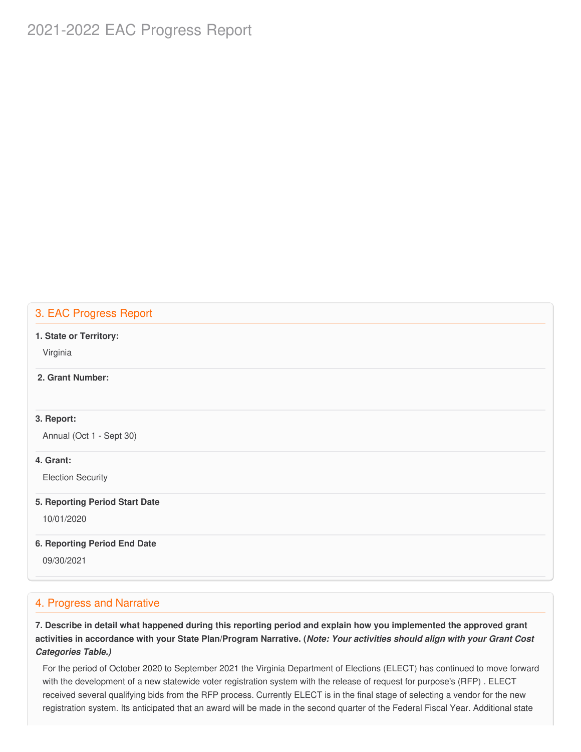# 2021-2022 EAC Progress Report

# 3. EAC Progress Report

#### **1. State or Territory:**

Virginia

### **2. Grant Number:**

#### **3. Report:**

Annual (Oct 1 - Sept 30)

#### **4. Grant:**

Election Security

#### **5. Reporting Period Start Date**

10/01/2020

#### **6. Reporting Period End Date**

09/30/2021

### 4. Progress and Narrative

7. Describe in detail what happened during this reporting period and explain how you implemented the approved grant activities in accordance with your State Plan/Program Narrative. (*Note: Your activities should align with your Grant Cost Categories Table.)*

 For the period of October 2020 to September 2021 the Virginia Department of Elections (ELECT) has continued to move forward with the development of a new statewide voter registration system with the release of request for purpose's (RFP) . ELECT received several qualifying bids from the RFP process. Currently ELECT is in the final stage of selecting a vendor for the new registration system. Its anticipated that an award will be made in the second quarter of the Federal Fiscal Year. Additional state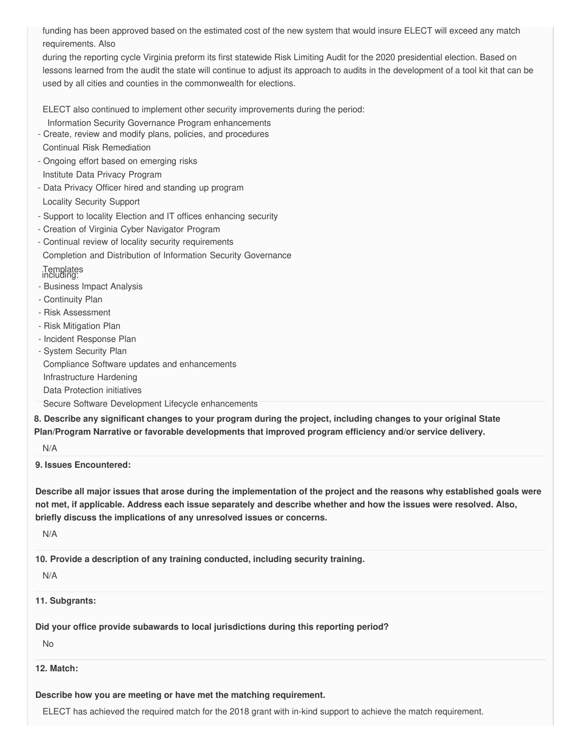funding has been approved based on the estimated cost of the new system that would insure ELECT will exceed any match requirements. Also

 during the reporting cycle Virginia preform its first statewide Risk Limiting Audit for the 2020 presidential election. Based on lessons learned from the audit the state will continue to adjust its approach to audits in the development of a tool kit that can be used by all cities and counties in the commonwealth for elections.

ELECT also continued to implement other security improvements during the period:

- Information Security Governance Program enhancements
- - Create, review and modify plans, policies, and procedures Continual Risk Remediation
- - Ongoing effort based on emerging risks Institute Data Privacy Program
- Data Privacy Officer hired and standing up program

Locality Security Support

- Support to locality Election and IT offices enhancing security
- Creation of Virginia Cyber Navigator Program
- - Continual review of locality security requirements Completion and Distribution of Information Security Governance

# Templates including:

- Business Impact Analysis
- Continuity Plan
- Risk Assessment
- Risk Mitigation Plan
- Incident Response Plan
- System Security Plan

Compliance Software updates and enhancements

Infrastructure Hardening

Data Protection initiatives

Secure Software Development Lifecycle enhancements

 **8. Describe any significant changes to your program during the project, including changes to your original State Plan/Program Narrative or favorable developments that improved program efficiency and/or service delivery.**

N/A

**9. Issues Encountered:**

Describe all major issues that arose during the implementation of the project and the reasons why established goals were not met, if applicable. Address each issue separately and describe whether and how the issues were resolved. Also,  **briefly discuss the implications of any unresolved issues or concerns.**

N/A

 **10. Provide a description of any training conducted, including security training.**

N/A

**11. Subgrants:**

 **Did your office provide subawards to local jurisdictions during this reporting period?**

No

### **12. Match:**

# **Describe how you are meeting or have met the matching requirement.**

ELECT has achieved the required match for the 2018 grant with in-kind support to achieve the match requirement.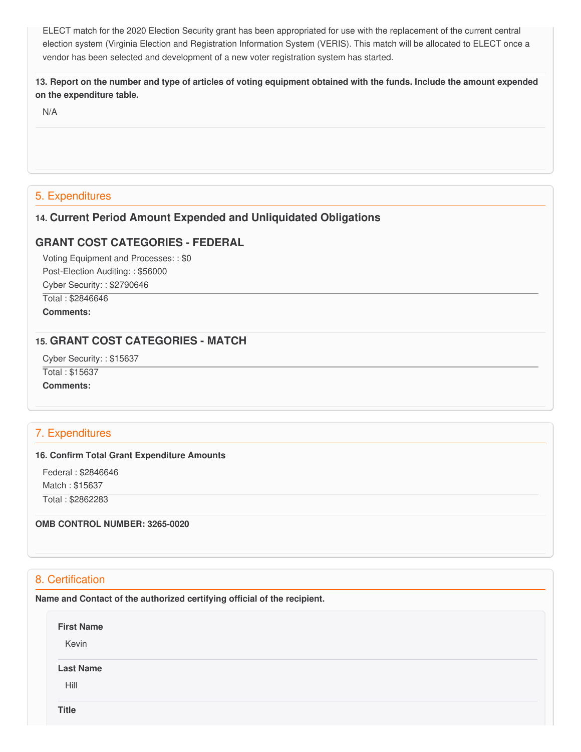ELECT match for the 2020 Election Security grant has been appropriated for use with the replacement of the current central election system (Virginia Election and Registration Information System (VERIS). This match will be allocated to ELECT once a vendor has been selected and development of a new voter registration system has started.

13. Report on the number and type of articles of voting equipment obtained with the funds. Include the amount expended  **on the expenditure table.**

N/A

# 5. Expenditures

### **14. Current Period Amount Expended and Unliquidated Obligations**

### **GRANT COST CATEGORIES - FEDERAL**

 Voting Equipment and Processes: : \$0 Post-Election Auditing: : \$56000 Cyber Security: : \$2790646

 Total : \$2846646 **Comments:**

# **15. GRANT COST CATEGORIES - MATCH**

Cyber Security: : \$15637

Total : \$15637

**Comments:**

# 7. Expenditures

#### **16. Confirm Total Grant Expenditure Amounts**

 Federal : \$2846646 Match : \$15637

Total : \$2862283

 **OMB CONTROL NUMBER: 3265-0020**

# 8. Certification

 **Name and Contact of the authorized certifying official of the recipient.**

| <b>First Name</b><br>Kevin |  |  |  |
|----------------------------|--|--|--|
| <b>Last Name</b>           |  |  |  |
| Hill                       |  |  |  |
| <b>Title</b>               |  |  |  |